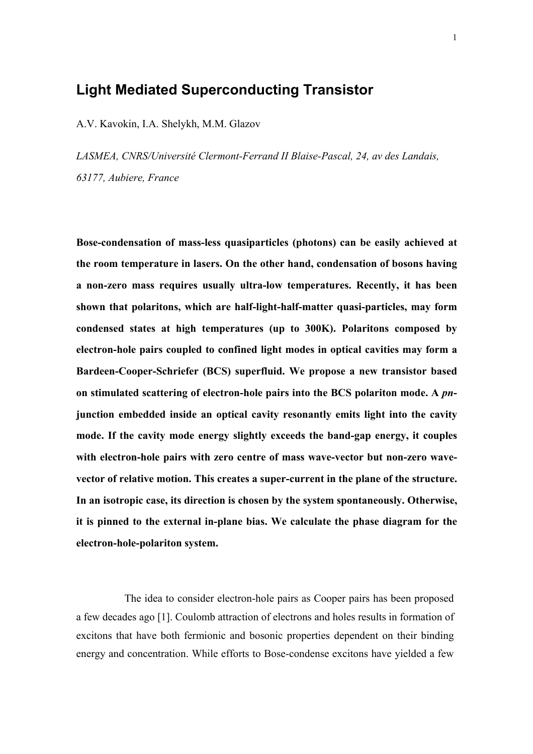## **Light Mediated Superconducting Transistor**

A.V. Kavokin, I.A. Shelykh, M.M. Glazov

*LASMEA, CNRS/Université Clermont-Ferrand II Blaise-Pascal, 24, av des Landais, 63177, Aubiere, France* 

**Bose-condensation of mass-less quasiparticles (photons) can be easily achieved at the room temperature in lasers. On the other hand, condensation of bosons having a non-zero mass requires usually ultra-low temperatures. Recently, it has been shown that polaritons, which are half-light-half-matter quasi-particles, may form condensed states at high temperatures (up to 300K). Polaritons composed by electron-hole pairs coupled to confined light modes in optical cavities may form a Bardeen-Cooper-Schriefer (BCS) superfluid. We propose a new transistor based on stimulated scattering of electron-hole pairs into the BCS polariton mode. A** *pn***junction embedded inside an optical cavity resonantly emits light into the cavity mode. If the cavity mode energy slightly exceeds the band-gap energy, it couples with electron-hole pairs with zero centre of mass wave-vector but non-zero wavevector of relative motion. This creates a super-current in the plane of the structure. In an isotropic case, its direction is chosen by the system spontaneously. Otherwise, it is pinned to the external in-plane bias. We calculate the phase diagram for the electron-hole-polariton system.** 

The idea to consider electron-hole pairs as Cooper pairs has been proposed a few decades ago [1]. Coulomb attraction of electrons and holes results in formation of excitons that have both fermionic and bosonic properties dependent on their binding energy and concentration. While efforts to Bose-condense excitons have yielded a few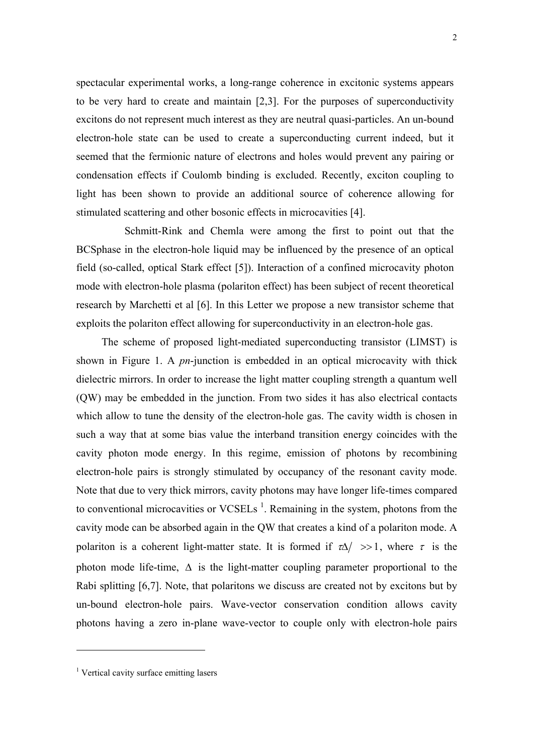spectacular experimental works, a long-range coherence in excitonic systems appears to be very hard to create and maintain [2,3]. For the purposes of superconductivity excitons do not represent much interest as they are neutral quasi-particles. An un-bound electron-hole state can be used to create a superconducting current indeed, but it seemed that the fermionic nature of electrons and holes would prevent any pairing or condensation effects if Coulomb binding is excluded. Recently, exciton coupling to light has been shown to provide an additional source of coherence allowing for stimulated scattering and other bosonic effects in microcavities [4].

Schmitt-Rink and Chemla were among the first to point out that the BCSphase in the electron-hole liquid may be influenced by the presence of an optical field (so-called, optical Stark effect [5]). Interaction of a confined microcavity photon mode with electron-hole plasma (polariton effect) has been subject of recent theoretical research by Marchetti et al [6]. In this Letter we propose a new transistor scheme that exploits the polariton effect allowing for superconductivity in an electron-hole gas.

The scheme of proposed light-mediated superconducting transistor (LIMST) is shown in Figure 1. A *pn*-junction is embedded in an optical microcavity with thick dielectric mirrors. In order to increase the light matter coupling strength a quantum well (QW) may be embedded in the junction. From two sides it has also electrical contacts which allow to tune the density of the electron-hole gas. The cavity width is chosen in such a way that at some bias value the interband transition energy coincides with the cavity photon mode energy. In this regime, emission of photons by recombining electron-hole pairs is strongly stimulated by occupancy of the resonant cavity mode. Note that due to very thick mirrors, cavity photons may have longer life-times compared to conventional microcavities or VCSELs  $<sup>1</sup>$  $<sup>1</sup>$  $<sup>1</sup>$ . Remaining in the system, photons from the</sup> cavity mode can be absorbed again in the QW that creates a kind of a polariton mode. A polariton is a coherent light-matter state. It is formed if  $\tau \Delta / >> 1$ , where  $\tau$  is the photon mode life-time,  $\Delta$  is the light-matter coupling parameter proportional to the Rabi splitting [6,7]. Note, that polaritons we discuss are created not by excitons but by un-bound electron-hole pairs. Wave-vector conservation condition allows cavity photons having a zero in-plane wave-vector to couple only with electron-hole pairs

 $\overline{a}$ 

<span id="page-1-0"></span><sup>&</sup>lt;sup>1</sup> Vertical cavity surface emitting lasers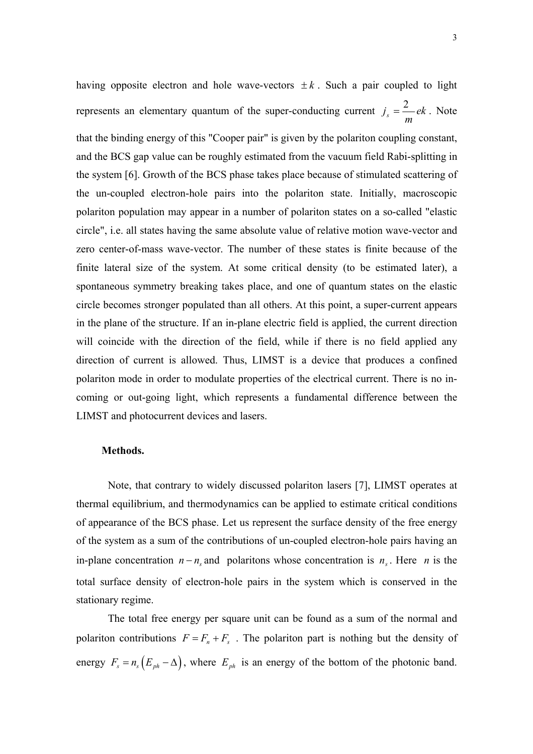having opposite electron and hole wave-vectors  $\pm k$ . Such a pair coupled to light represents an elementary quantum of the super-conducting current  $j_s = -e$  $j_s = \frac{2}{m} e k$ . Note

that the binding energy of this "Cooper pair" is given by the polariton coupling constant, and the BCS gap value can be roughly estimated from the vacuum field Rabi-splitting in the system [6]. Growth of the BCS phase takes place because of stimulated scattering of the un-coupled electron-hole pairs into the polariton state. Initially, macroscopic polariton population may appear in a number of polariton states on a so-called "elastic circle", i.e. all states having the same absolute value of relative motion wave-vector and zero center-of-mass wave-vector. The number of these states is finite because of the finite lateral size of the system. At some critical density (to be estimated later), a spontaneous symmetry breaking takes place, and one of quantum states on the elastic circle becomes stronger populated than all others. At this point, a super-current appears in the plane of the structure. If an in-plane electric field is applied, the current direction will coincide with the direction of the field, while if there is no field applied any direction of current is allowed. Thus, LIMST is a device that produces a confined polariton mode in order to modulate properties of the electrical current. There is no incoming or out-going light, which represents a fundamental difference between the LIMST and photocurrent devices and lasers.

## **Methods.**

Note, that contrary to widely discussed polariton lasers [7], LIMST operates at thermal equilibrium, and thermodynamics can be applied to estimate critical conditions of appearance of the BCS phase. Let us represent the surface density of the free energy of the system as a sum of the contributions of un-coupled electron-hole pairs having an in-plane concentration  $n - n_s$  and polaritons whose concentration is  $n_s$ . Here *n* is the total surface density of electron-hole pairs in the system which is conserved in the stationary regime.

The total free energy per square unit can be found as a sum of the normal and polariton contributions  $F = F_n + F_s$ . The polariton part is nothing but the density of energy  $F_s = n_s (E_{ph} - \Delta)$ , where  $E_{ph}$  is an energy of the bottom of the photonic band.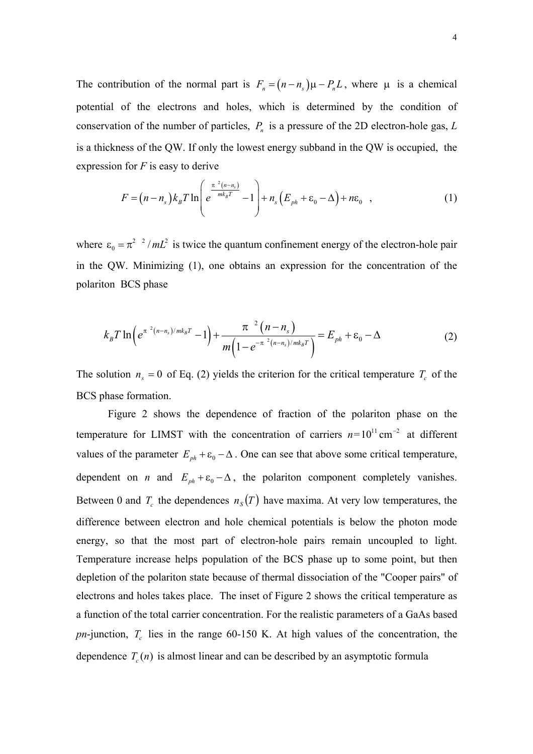The contribution of the normal part is  $F_n = (n - n_s)\mu - P_nL$ , where  $\mu$  is a chemical potential of the electrons and holes, which is determined by the condition of conservation of the number of particles,  $P_n$  is a pressure of the 2D electron-hole gas,  $L$ is a thickness of the QW. If only the lowest energy subband in the QW is occupied, the expression for *F* is easy to derive

$$
F = (n - n_s)k_B T \ln \left( e^{\frac{\pi^2 (n - n_s)}{mk_B T}} - 1 \right) + n_s \left( E_{ph} + \varepsilon_0 - \Delta \right) + n\varepsilon_0 , \qquad (1)
$$

where  $\varepsilon_0 = \pi^2$  <sup>2</sup>/mL<sup>2</sup> is twice the quantum confinement energy of the electron-hole pair in the QW. Minimizing (1), one obtains an expression for the concentration of the polariton BCS phase

$$
k_B T \ln \left( e^{\pi^{2} (n-n_s)/mk_B T} - 1 \right) + \frac{\pi^{2} (n-n_s)}{m \left( 1 - e^{-\pi^{2} (n-n_s)/mk_B T} \right)} = E_{ph} + \varepsilon_0 - \Delta
$$
 (2)

The solution  $n_s = 0$  of Eq. (2) yields the criterion for the critical temperature  $T_c$  of the BCS phase formation.

Figure 2 shows the dependence of fraction of the polariton phase on the temperature for LIMST with the concentration of carriers  $n=10^{11}$  cm<sup>-2</sup> at different values of the parameter  $E_{ph} + \varepsilon_0 - \Delta$ . One can see that above some critical temperature, dependent on *n* and  $E_{ph} + \varepsilon_0 - \Delta$ , the polariton component completely vanishes. Between 0 and  $T_c$  the dependences  $n_s(T)$  have maxima. At very low temperatures, the difference between electron and hole chemical potentials is below the photon mode energy, so that the most part of electron-hole pairs remain uncoupled to light. Temperature increase helps population of the BCS phase up to some point, but then depletion of the polariton state because of thermal dissociation of the "Cooper pairs" of electrons and holes takes place. The inset of Figure 2 shows the critical temperature as a function of the total carrier concentration. For the realistic parameters of a GaAs based *pn*-junction,  $T_c$  lies in the range 60-150 K. At high values of the concentration, the dependence  $T_c(n)$  is almost linear and can be described by an asymptotic formula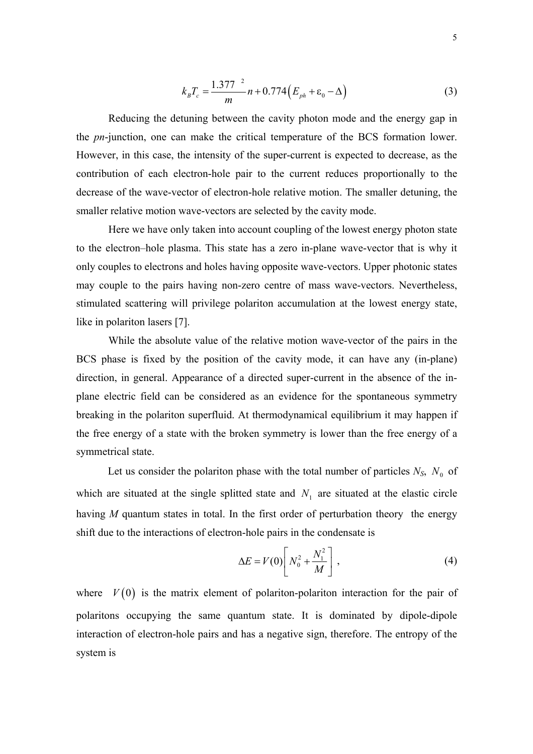$$
k_B T_c = \frac{1.377^{-2}}{m} n + 0.774 (E_{ph} + \varepsilon_0 - \Delta)
$$
 (3)

 Reducing the detuning between the cavity photon mode and the energy gap in the *pn*-junction, one can make the critical temperature of the BCS formation lower. However, in this case, the intensity of the super-current is expected to decrease, as the contribution of each electron-hole pair to the current reduces proportionally to the decrease of the wave-vector of electron-hole relative motion. The smaller detuning, the smaller relative motion wave-vectors are selected by the cavity mode.

 Here we have only taken into account coupling of the lowest energy photon state to the electron–hole plasma. This state has a zero in-plane wave-vector that is why it only couples to electrons and holes having opposite wave-vectors. Upper photonic states may couple to the pairs having non-zero centre of mass wave-vectors. Nevertheless, stimulated scattering will privilege polariton accumulation at the lowest energy state, like in polariton lasers [7].

 While the absolute value of the relative motion wave-vector of the pairs in the BCS phase is fixed by the position of the cavity mode, it can have any (in-plane) direction, in general. Appearance of a directed super-current in the absence of the inplane electric field can be considered as an evidence for the spontaneous symmetry breaking in the polariton superfluid. At thermodynamical equilibrium it may happen if the free energy of a state with the broken symmetry is lower than the free energy of a symmetrical state.

Let us consider the polariton phase with the total number of particles  $N<sub>S</sub>$ ,  $N<sub>0</sub>$  of which are situated at the single splitted state and  $N_1$  are situated at the elastic circle having *M* quantum states in total. In the first order of perturbation theory the energy shift due to the interactions of electron-hole pairs in the condensate is

$$
\Delta E = V(0) \left[ N_0^2 + \frac{N_1^2}{M} \right], \tag{4}
$$

where  $V(0)$  is the matrix element of polariton-polariton interaction for the pair of polaritons occupying the same quantum state. It is dominated by dipole-dipole interaction of electron-hole pairs and has a negative sign, therefore. The entropy of the system is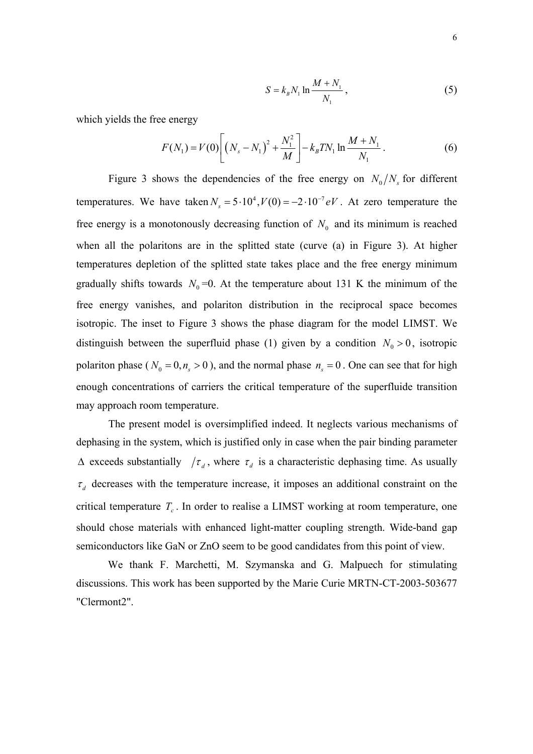$$
S = k_B N_1 \ln \frac{M + N_1}{N_1},
$$
 (5)

which yields the free energy

$$
F(N_1) = V(0) \left[ \left( N_s - N_1 \right)^2 + \frac{N_1^2}{M} \right] - k_B T N_1 \ln \frac{M + N_1}{N_1} \,. \tag{6}
$$

Figure 3 shows the dependencies of the free energy on  $N_0/N_s$  for different temperatures. We have taken  $N_s = 5 \cdot 10^4$ ,  $V(0) = -2 \cdot 10^{-7} eV$ . At zero temperature the free energy is a monotonously decreasing function of  $N_0$  and its minimum is reached when all the polaritons are in the splitted state (curve (a) in Figure 3). At higher temperatures depletion of the splitted state takes place and the free energy minimum gradually shifts towards  $N_0 = 0$ . At the temperature about 131 K the minimum of the free energy vanishes, and polariton distribution in the reciprocal space becomes isotropic. The inset to Figure 3 shows the phase diagram for the model LIMST. We distinguish between the superfluid phase (1) given by a condition  $N_0 > 0$ , isotropic polariton phase ( $N_0 = 0, n_s > 0$ ), and the normal phase  $n_s = 0$ . One can see that for high enough concentrations of carriers the critical temperature of the superfluide transition may approach room temperature.

The present model is oversimplified indeed. It neglects various mechanisms of dephasing in the system, which is justified only in case when the pair binding parameter  $\Delta$  exceeds substantially  $\tau_d$ , where  $\tau_d$  is a characteristic dephasing time. As usually  $\tau_d$  decreases with the temperature increase, it imposes an additional constraint on the critical temperature  $T_c$ . In order to realise a LIMST working at room temperature, one should chose materials with enhanced light-matter coupling strength. Wide-band gap semiconductors like GaN or ZnO seem to be good candidates from this point of view.

We thank F. Marchetti, M. Szymanska and G. Malpuech for stimulating discussions. This work has been supported by the Marie Curie MRTN-CT-2003-503677 "Clermont2".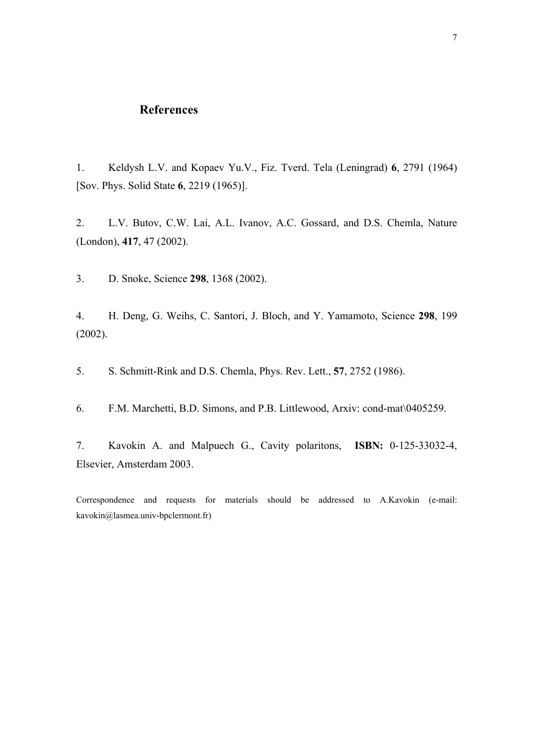## **References**

1. Keldysh L.V. and Kopaev Yu.V., Fiz. Tverd. Tela (Leningrad) **6**, 2791 (1964) [Sov. Phys. Solid State **6**, 2219 (1965)].

2. L.V. Butov, C.W. Lai, A.L. Ivanov, A.C. Gossard, and D.S. Chemla, Nature (London), **417**, 47 (2002).

3. D. Snoke, Science **298**, 1368 (2002).

4. H. Deng, G. Weihs, C. Santori, J. Bloch, and Y. Yamamoto, Science **298**, 199 (2002).

5. S. Schmitt-Rink and D.S. Chemla, Phys. Rev. Lett., **57**, 2752 (1986).

6. F.M. Marchetti, B.D. Simons, and P.B. Littlewood, Arxiv: cond-mat\0405259.

7. Kavokin A. and Malpuech G., Cavity polaritons, **ISBN:** 0-125-33032-4, Elsevier, Amsterdam 2003.

Correspondence and requests for materials should be addressed to A.Kavokin (e-mail: kavokin@lasmea.univ-bpclermont.fr)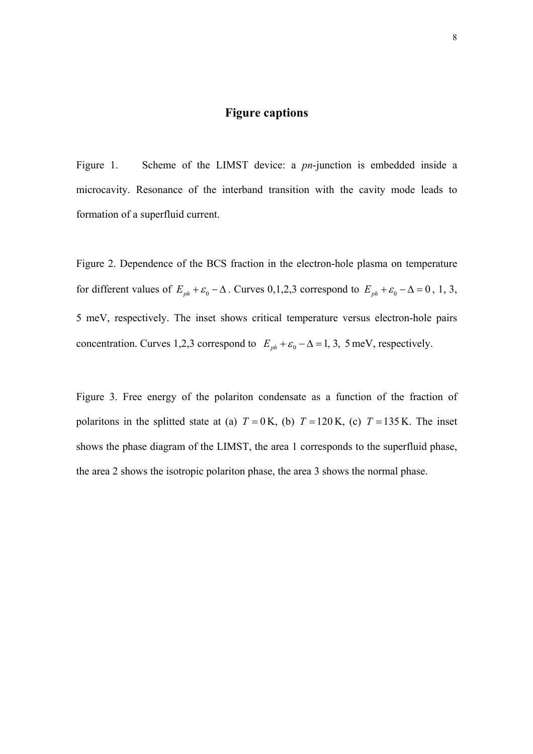## **Figure captions**

Figure 1. Scheme of the LIMST device: a *pn*-junction is embedded inside a microcavity. Resonance of the interband transition with the cavity mode leads to formation of a superfluid current.

Figure 2. Dependence of the BCS fraction in the electron-hole plasma on temperature for different values of  $E_{ph} + \varepsilon_0 - \Delta$ . Curves 0,1,2,3 correspond to  $E_{ph} + \varepsilon_0 - \Delta = 0$ , 1, 3, 5 meV, respectively. The inset shows critical temperature versus electron-hole pairs concentration. Curves 1,2,3 correspond to  $E_{ph} + \varepsilon_0 - \Delta = 1, 3, 5$  meV, respectively.

Figure 3. Free energy of the polariton condensate as a function of the fraction of polaritons in the splitted state at (a)  $T = 0$  K, (b)  $T = 120$  K, (c)  $T = 135$  K. The inset shows the phase diagram of the LIMST, the area 1 corresponds to the superfluid phase, the area 2 shows the isotropic polariton phase, the area 3 shows the normal phase.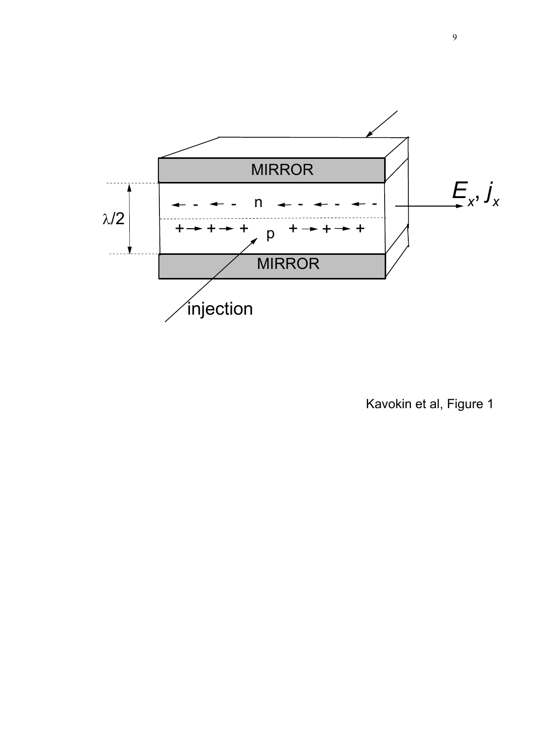

Kavokin et al, Figure 1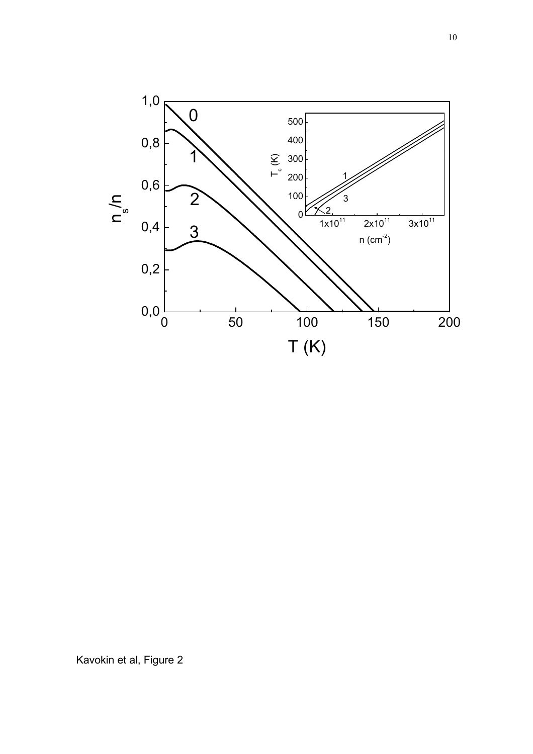

Kavokin et al, Figure 2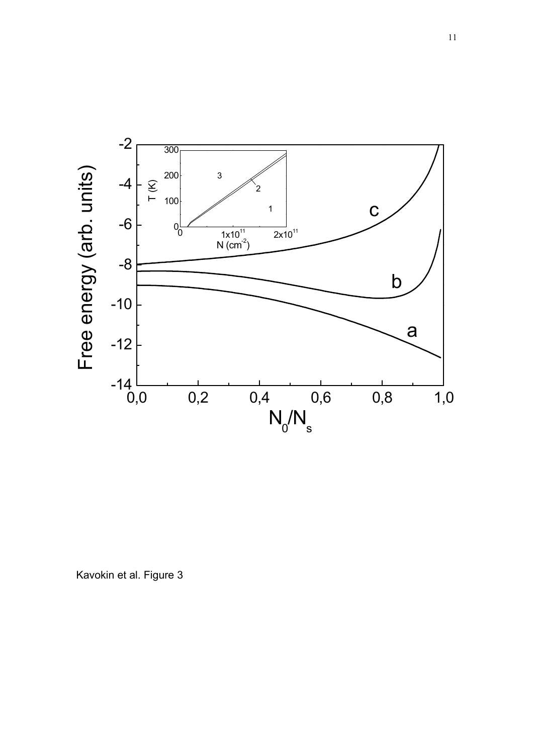

Kavokin et al. Figure 3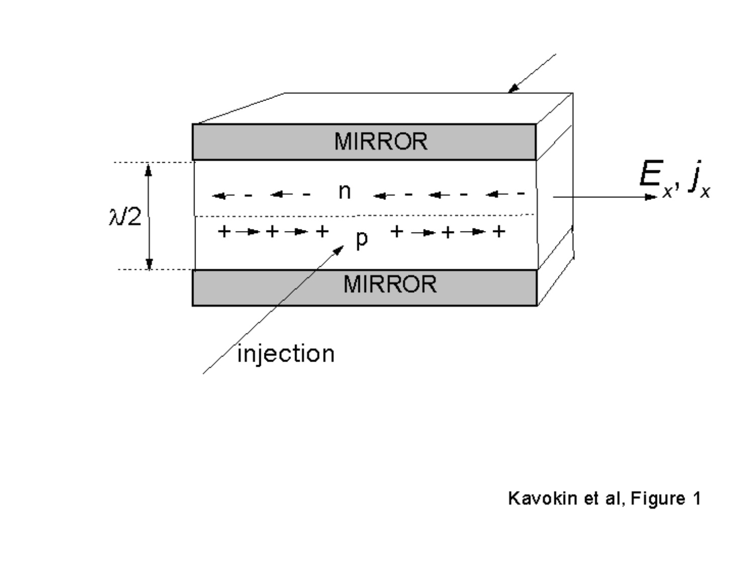

Kavokin et al, Figure 1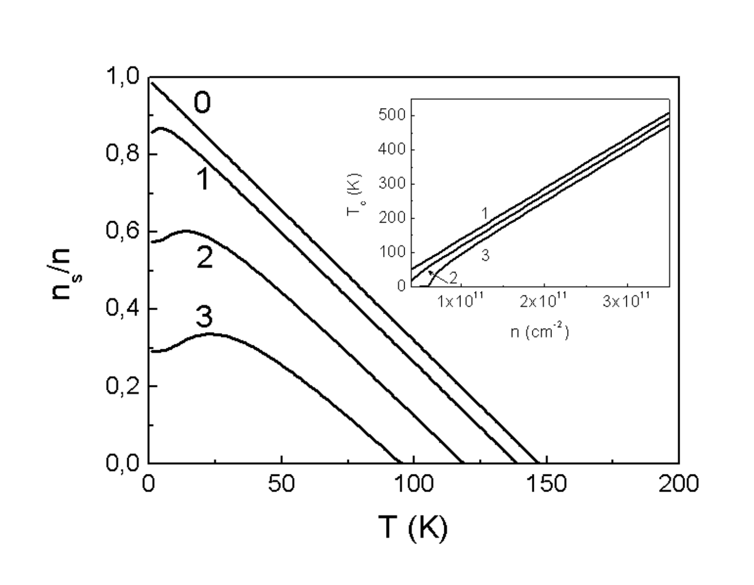